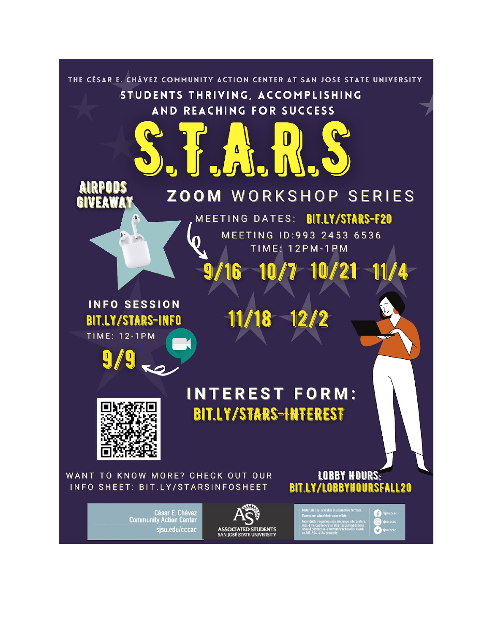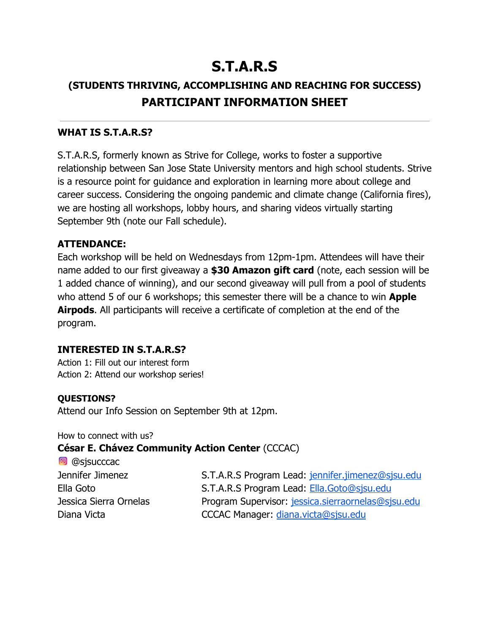# **S.T.A.R.S**

### **(STUDENTS THRIVING, ACCOMPLISHING AND REACHING FOR SUCCESS) PARTICIPANT INFORMATION SHEET**

#### **WHAT IS S.T.A.R.S?**

S.T.A.R.S, formerly known as Strive for College, works to foster a supportive relationship between San Jose State University mentors and high school students. Strive is a resource point for guidance and exploration in learning more about college and career success. Considering the ongoing pandemic and climate change (California fires), we are hosting all workshops, lobby hours, and sharing videos virtually starting September 9th (note our Fall schedule).

#### **ATTENDANCE:**

Each workshop will be held on Wednesdays from 12pm-1pm. Attendees will have their name added to our first giveaway a **\$30 Amazon gift card** (note, each session will be 1 added chance of winning), and our second giveaway will pull from a pool of students who attend 5 of our 6 workshops; this semester there will be a chance to win **Apple Airpods**. All participants will receive a certificate of completion at the end of the program.

#### **INTERESTED IN S.T.A.R.S?**

Action 1: Fill out our interest form Action 2: Attend our workshop series!

#### **QUESTIONS?**

Attend our Info Session on September 9th at 12pm.

How to connect with us?

#### **César E. Chávez Community Action Center** (CCCAC)

| S.T.A.R.S Program Lead: jennifer.jimenez@sjsu.edu  |
|----------------------------------------------------|
| S.T.A.R.S Program Lead: Ella.Goto@sjsu.edu         |
| Program Supervisor: jessica.sierraornelas@sjsu.edu |
| CCCAC Manager: diana.victa@sjsu.edu                |
|                                                    |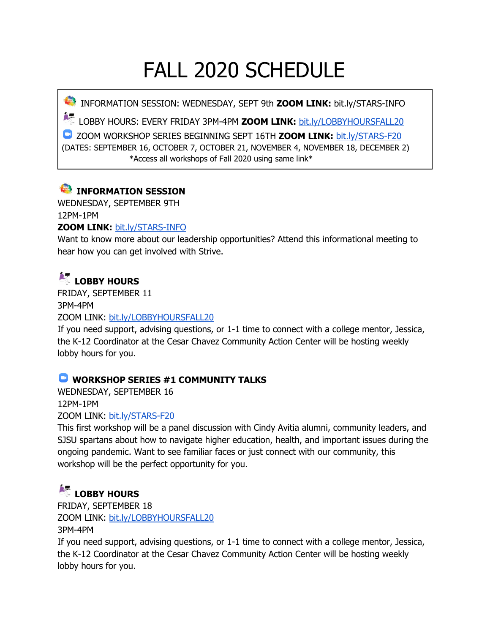# FALL 2020 SCHEDULE

INFORMATION SESSION: WEDNESDAY, SEPT 9th **ZOOM LINK:** bit.ly/STARS-INFO

LOBBY HOURS: EVERY FRIDAY 3PM-4PM **ZOOM LINK:** [bit.ly/LOBBYHOURSFALL20](http://bit.ly/lobbyhoursfall20)

ZOOM WORKSHOP SERIES BEGINNING SEPT 16TH **ZOOM LINK:** [bit.ly/STARS-F20](http://bit.ly/STARS-F20) (DATES: SEPTEMBER 16, OCTOBER 7, OCTOBER 21, NOVEMBER 4, NOVEMBER 18, DECEMBER 2) \*Access all workshops of Fall 2020 using same link\*

### **INFORMATION SESSION**

WEDNESDAY, SEPTEMBER 9TH 12PM-1PM

#### **ZOOM LINK:** [bit.ly/STARS-INFO](http://bit.ly/STARS-F20)

Want to know more about our leadership opportunities? Attend this informational meeting to hear how you can get involved with Strive.

# **LOBBY HOURS**

FRIDAY, SEPTEMBER 11

3PM-4PM

ZOOM LINK: [bit.ly/LOBBYHOURSFALL20](http://bit.ly/lobbyhoursfall20)

If you need support, advising questions, or 1-1 time to connect with a college mentor, Jessica, the K-12 Coordinator at the Cesar Chavez Community Action Center will be hosting weekly lobby hours for you.

#### **WORKSHOP SERIES #1 COMMUNITY TALKS**

WEDNESDAY, SEPTEMBER 16 12PM-1PM

ZOOM LINK: [bit.ly/STARS-F20](http://bit.ly/STARS-F20)

This first workshop will be a panel discussion with Cindy Avitia alumni, community leaders, and SJSU spartans about how to navigate higher education, health, and important issues during the ongoing pandemic. Want to see familiar faces or just connect with our community, this workshop will be the perfect opportunity for you.

### **LOBBY HOURS**

FRIDAY, SEPTEMBER 18 ZOOM LINK: [bit.ly/LOBBYHOURSFALL20](http://bit.ly/lobbyhoursfall20) 3PM-4PM

If you need support, advising questions, or 1-1 time to connect with a college mentor, Jessica, the K-12 Coordinator at the Cesar Chavez Community Action Center will be hosting weekly lobby hours for you.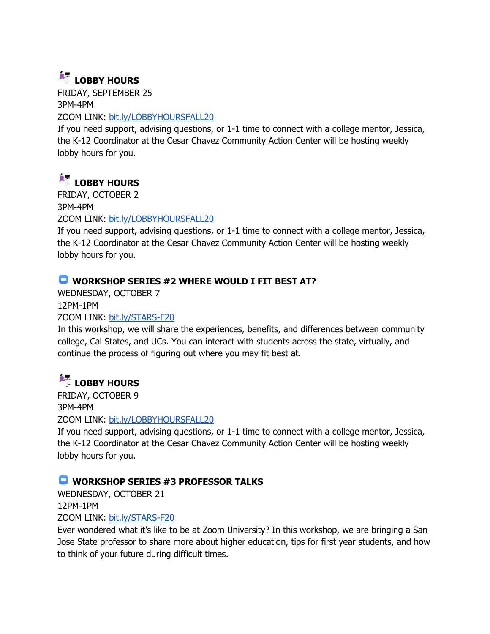## **LOBBY HOURS**

FRIDAY, SEPTEMBER 25 3PM-4PM ZOOM LINK: [bit.ly/LOBBYHOURSFALL20](http://bit.ly/lobbyhoursfall20)

If you need support, advising questions, or 1-1 time to connect with a college mentor, Jessica, the K-12 Coordinator at the Cesar Chavez Community Action Center will be hosting weekly lobby hours for you.

# **LOBBY HOURS**

FRIDAY, OCTOBER 2 3PM-4PM ZOOM LINK: [bit.ly/LOBBYHOURSFALL20](http://bit.ly/lobbyhoursfall20)

If you need support, advising questions, or 1-1 time to connect with a college mentor, Jessica, the K-12 Coordinator at the Cesar Chavez Community Action Center will be hosting weekly lobby hours for you.

### **WORKSHOP SERIES #2 WHERE WOULD I FIT BEST AT?**

WEDNESDAY, OCTOBER 7 12PM-1PM

ZOOM LINK: [bit.ly/STARS-F20](http://bit.ly/STARS-F20)

In this workshop, we will share the experiences, benefits, and differences between community college, Cal States, and UCs. You can interact with students across the state, virtually, and continue the process of figuring out where you may fit best at.

### **LOBBY HOURS**

FRIDAY, OCTOBER 9 3PM-4PM ZOOM LINK: [bit.ly/LOBBYHOURSFALL20](http://bit.ly/lobbyhoursfall20)

If you need support, advising questions, or 1-1 time to connect with a college mentor, Jessica, the K-12 Coordinator at the Cesar Chavez Community Action Center will be hosting weekly lobby hours for you.

### **WORKSHOP SERIES #3 PROFESSOR TALKS**

WEDNESDAY, OCTOBER 21

12PM-1PM

ZOOM LINK: [bit.ly/STARS-F20](http://bit.ly/STARS-F20)

Ever wondered what it's like to be at Zoom University? In this workshop, we are bringing a San Jose State professor to share more about higher education, tips for first year students, and how to think of your future during difficult times.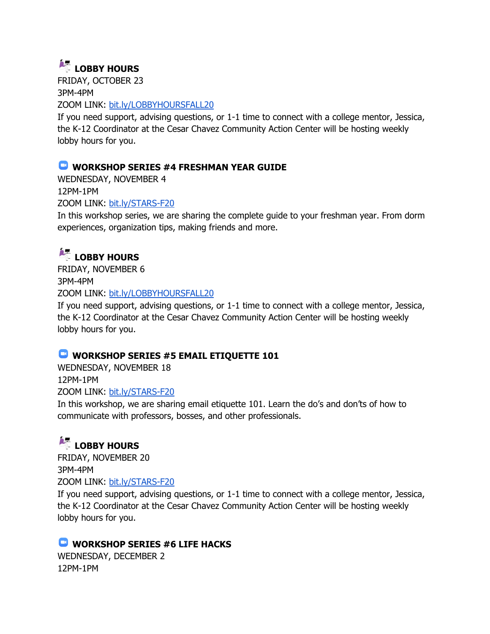### **LOBBY HOURS**

FRIDAY, OCTOBER 23 3PM-4PM ZOOM LINK: [bit.ly/LOBBYHOURSFALL20](http://bit.ly/lobbyhoursfall20)

If you need support, advising questions, or 1-1 time to connect with a college mentor, Jessica, the K-12 Coordinator at the Cesar Chavez Community Action Center will be hosting weekly lobby hours for you.

### **WORKSHOP SERIES #4 FRESHMAN YEAR GUIDE**

WEDNESDAY, NOVEMBER 4 12PM-1PM ZOOM LINK: [bit.ly/STARS-F20](http://bit.ly/STARS-F20)

In this workshop series, we are sharing the complete guide to your freshman year. From dorm experiences, organization tips, making friends and more.

### **LOBBY HOURS**

FRIDAY, NOVEMBER 6 3PM-4PM ZOOM LINK: [bit.ly/LOBBYHOURSFALL20](http://bit.ly/lobbyhoursfall20)

If you need support, advising questions, or 1-1 time to connect with a college mentor, Jessica, the K-12 Coordinator at the Cesar Chavez Community Action Center will be hosting weekly lobby hours for you.

### **WORKSHOP SERIES #5 EMAIL ETIQUETTE 101**

WEDNESDAY, NOVEMBER 18 12PM-1PM ZOOM LINK: [bit.ly/STARS-F20](http://bit.ly/STARS-F20)

In this workshop, we are sharing email etiquette 101. Learn the do's and don'ts of how to communicate with professors, bosses, and other professionals.

# **LOBBY HOURS**

FRIDAY, NOVEMBER 20 3PM-4PM ZOOM LINK: [bit.ly/STARS-F20](http://bit.ly/STARS-F20)

If you need support, advising questions, or 1-1 time to connect with a college mentor, Jessica, the K-12 Coordinator at the Cesar Chavez Community Action Center will be hosting weekly lobby hours for you.

### **WORKSHOP SERIES #6 LIFE HACKS**

WEDNESDAY, DECEMBER 2 12PM-1PM